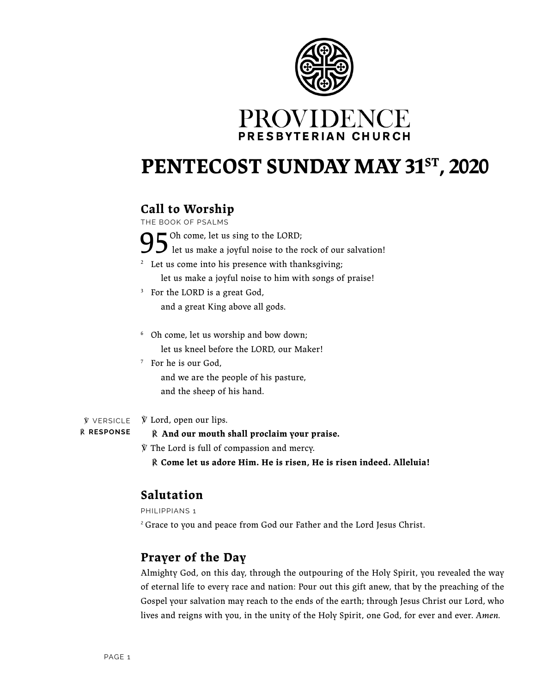



# PENTECOST SUNDAY MAY 31<sup>ST</sup>, 2020

## **Call to Worship**

THE BOOK OF PSALMS

 $\Box$  Oh come, let us sing to the LORD;

let us make a joyful noise to the rock of our salvation!

<sup>2</sup> Let us come into his presence with thanksgiving;

let us make a joyful noise to him with songs of praise!

- <sup>3</sup> For the LORD is a great God, and a great King above all gods.
- <sup>6</sup> Oh come, let us worship and bow down; let us kneel before the LORD, our Maker!
- 7 For he is our God, and we are the people of his pasture, and the sheep of his hand.

℣ Lord, open our lips. ℣ VERSICLE

℟ **RESPONSE**

℟ **And our mouth shall proclaim your praise.**

℣ The Lord is full of compassion and mercy.

℟ **Come let us adore Him. He is risen, He is risen indeed. Alleluia!**

## **Salutation**

PHILIPPIANS 1

<sup>2</sup> Grace to you and peace from God our Father and the Lord Jesus Christ.

## **Prayer of the Day**

Almighty God, on this day, through the outpouring of the Holy Spirit, you revealed the way of eternal life to every race and nation: Pour out this gift anew, that by the preaching of the Gospel your salvation may reach to the ends of the earth; through Jesus Christ our Lord, who lives and reigns with you, in the unity of the Holy Spirit, one God, for ever and ever. *Amen.*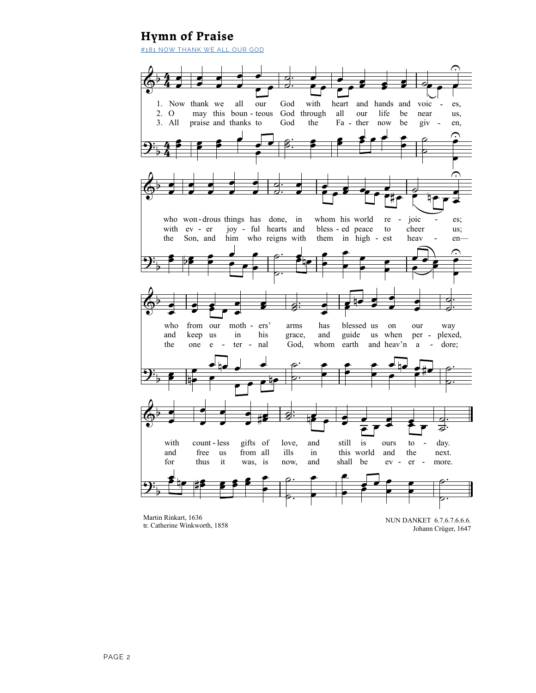## **Hymn of Praise**

#181 NOW THANK WE ALL OUR GOD



Martin Rinkart, 1636 tr. Catherine Winkworth, 1858

NUN DANKET 6.7.6.7.6.6.6. Johann Crüger, 1647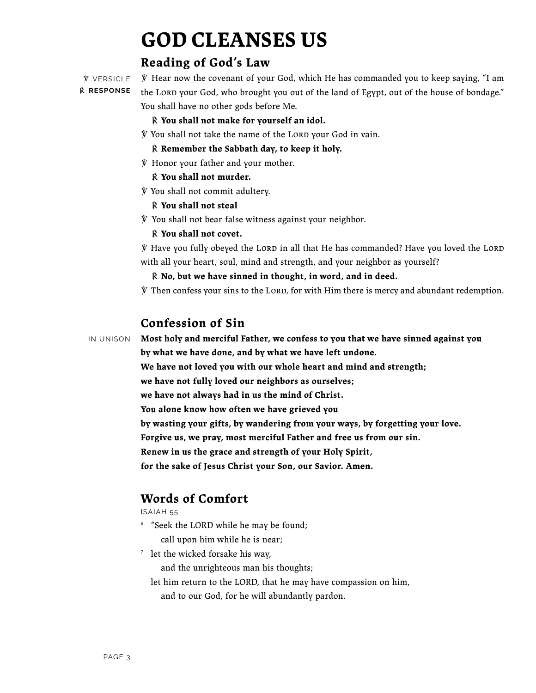# **GOD CLEANSES US**

## **Reading of God's Law**

℣ VERSICLE ℟ **RESPONSE**

 $\hat{Y}$  Hear now the covenant of your God, which He has commanded you to keep saying, "I am the LORD your God, who brought you out of the land of Egypt, out of the house of bondage." You shall have no other gods before Me.

℟ **You shall not make for yourself an idol.**

 $\hat{y}$  You shall not take the name of the LORD your God in vain.

℟ **Remember the Sabbath day, to keep it holy.**

℣ Honor your father and your mother.

### ℟ **You shall not murder.**

℣ You shall not commit adultery.

### ℟ **You shall not steal**

℣ You shall not bear false witness against your neighbor.

### ℟ **You shall not covet.**

 $\tilde{Y}$  Have you fully obeyed the LORD in all that He has commanded? Have you loved the LORD with all your heart, soul, mind and strength, and your neighbor as yourself?

℟ **No, but we have sinned in thought, in word, and in deed.**

 $\hat{y}$  Then confess your sins to the LORD, for with Him there is mercy and abundant redemption.

## **Confession of Sin**

IN UNISON

**Most holy and merciful Father, we confess to you that we have sinned against you by what we have done, and by what we have left undone.**

**We have not loved you with our whole heart and mind and strength;**

**we have not fully loved our neighbors as ourselves;**

**we have not always had in us the mind of Christ.**

**You alone know how often we have grieved you**

**by wasting your gifts, by wandering from your ways, by forgetting your love.**

**Forgive us, we pray, most merciful Father and free us from our sin.**

**Renew in us the grace and strength of your Holy Spirit,**

**for the sake of Jesus Christ your Son, our Savior. Amen.**

## **Words of Comfort**

ISAIAH 55

<sup>6</sup> "Seek the LORD while he may be found;

call upon him while he is near;

<sup>7</sup> let the wicked forsake his way,

and the unrighteous man his thoughts;

let him return to the LORD, that he may have compassion on him,

and to our God, for he will abundantly pardon.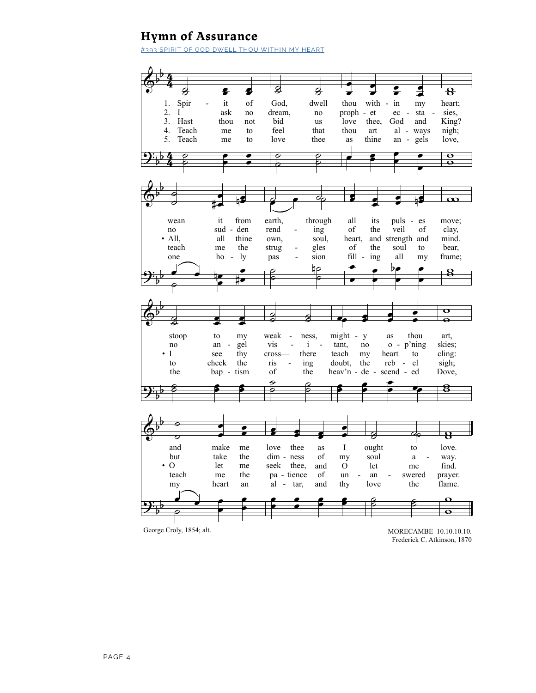## **Hymn of Assurance**

#393 SPIRIT OF GOD DWELL THOU WITHIN MY HEART



MORECAMBE 10.10.10.10. Frederick C. Atkinson, 1870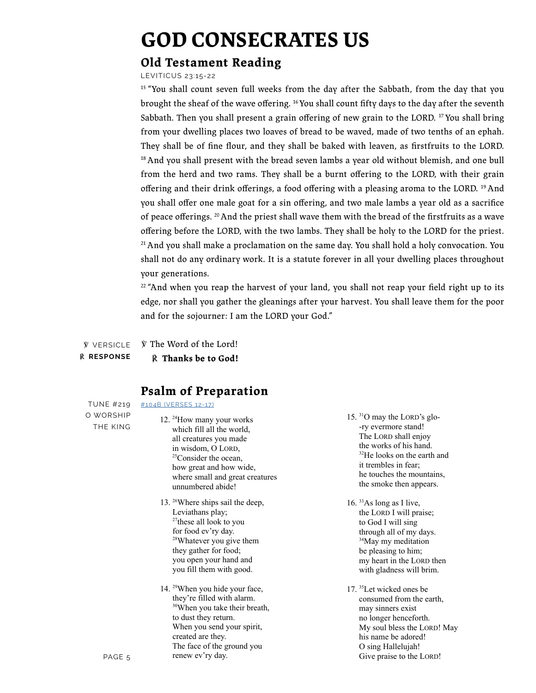## **GOD CONSECRATES US**

## **Old Testament Reading**

LEVITICUS 23:15-22

<sup>15</sup> "You shall count seven full weeks from the day after the Sabbath, from the day that you brought the sheaf of the wave offering. <sup>16</sup> You shall count fifty days to the day after the seventh Sabbath. Then you shall present a grain offering of new grain to the LORD. <sup>17</sup> You shall bring from your dwelling places two loaves of bread to be waved, made of two tenths of an ephah. They shall be of fine flour, and they shall be baked with leaven, as first fruits to the LORD.  $18$  And you shall present with the bread seven lambs a year old without blemish, and one bull from the herd and two rams. They shall be a burnt offering to the LORD, with their grain offering and their drink offerings, a food offering with a pleasing aroma to the LORD. <sup>19</sup> And you shall offer one male goat for a sin offering, and two male lambs a year old as a sacrifice of peace offerings. <sup>20</sup> And the priest shall wave them with the bread of the firstfruits as a wave offering before the LORD, with the two lambs. They shall be holy to the LORD for the priest.  $21$  And you shall make a proclamation on the same day. You shall hold a holy convocation. You shall not do any ordinary work. It is a statute forever in all your dwelling places throughout  $\frac{1}{10}$  your generations.  $\sum_{i=1}^{\infty}$ ur dwelling places two loaves of bread to be waved, mad he planted them and and their drink offerings, a food offering with a ple the state in the goal of the state care and goal contains of the state of the ground you are stated to determine the state of the bread ierations. he day after the S ering of new grain  $\arg$ , and two the LOLEVEL In the ye inary work. It is a stat l be of fine flour, and they shall be baked with leaven, a: n all your dwelling

 $22$  "And when you reap the harvest of your land, you shall not reap your field right up to its edge, nor shall you gather the gleanings after your harvest. You shall leave them for the poor and for the sojourner: I am the LORD your God." r shall you gather the gleanings after your harvest. You sh  $\lim_{t \to \infty}$  for shall an the harvest of vour land, vou shall not rean vour field  $\ddot{\phantom{a}}$ yather the gleanings after your harvest. You shall leave tl an not reap your

**W** VERSICLE ℟ **RESPONSE**  $\tilde{y}$  The Word of the Lord! *R* Thanks be to God! aliks be to Gou  $\rho_{\text{c}}$  11 he waters the well.

#### **Psalm of Preparation** n of Preparation high rocks make their lairs.

[#104B \(VERSES 12-17\)](https://providence-hymns.s3-us-west-1.amazonaws.com/Providence+Psalter+Hymnal+Recordings/O+Worship+the+King+(219).mp3)

TUNE #219 O WORSHIP THE KING

#### 12. <sup>24</sup>How many your works which fill all the world, all creatures you made in wisdom, O LORD,  $25$ Consider the ocean, how great and how wide, where small and great creatures unnumbered abide!

- for food ev'ry day. 13. <sup>26</sup>Where ships sail the deep, Leviatnans play;<br> $27$ these all look to you  $\alpha$  ay,  $\alpha$ <sup>28</sup>Whatever you give them mey gamer for food;<br>you open your hand and you fill them with good. Leviathans play; they gather for food;
	- 14. <sup>29</sup>When you hide your face, with alarm.<br>.  $30$ When you take their breath, to dust they return.<br>When you send your spirit,  $\mathbf{y}$ . The face of the ground you  $uy.$ they're filled with alarm. to dust they return. created are they. renew ev'ry day.
- $15.$  <sup>31</sup>O may the LORD's glo--ry evermore stand! The LORD shall enjoy the works of his hand.  $32$ He looks on the earth and it trembles in fear; he touches the mountains, the smoke then appears.
	- through all of my days. <sup>34</sup>May my meditation be pleasing to him; 16. <sup>33</sup> As long as I live, the LORD I will praise; to God I will sing my heart in the LORD then with gladness will brim.
		- 17. <sup>35</sup> Let wicked ones be consumed from the earth, may sinners exist no longer henceforth. My soul bless the LORD! May his name be adored! O sing Hallelujah! Give praise to the LORD!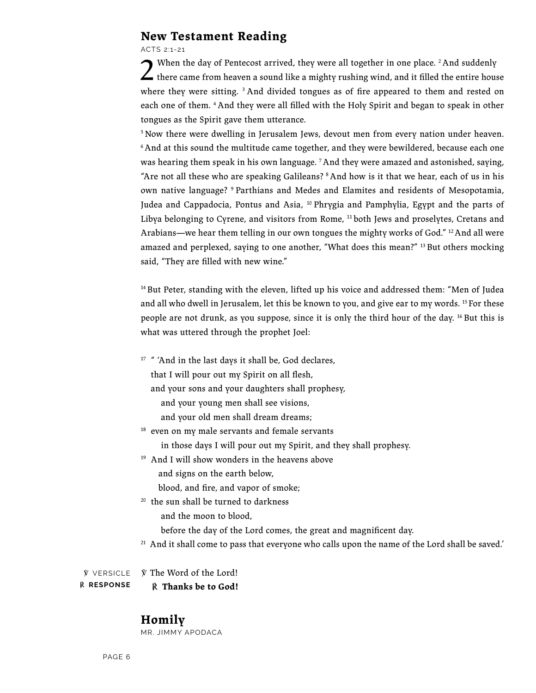### **New Testament Reading**

ACTS 2:1-21

2 When the day of Pentecost arrived, they were all together in one place. 2 And suddenly there came from heaven a sound like a mighty rushing wind, and it filled the entire house where they were sitting.<sup>3</sup> And divided tongues as of fire appeared to them and rested on each one of them. 4 And they were all filled with the Holy Spirit and began to speak in other tongues as the Spirit gave them utterance.

<sup>5</sup> Now there were dwelling in Jerusalem Jews, devout men from every nation under heaven. <sup>6</sup> And at this sound the multitude came together, and they were bewildered, because each one was hearing them speak in his own language. 7 And they were amazed and astonished, saying, "Are not all these who are speaking Galileans? 8 And how is it that we hear, each of us in his own native language? 9 Parthians and Medes and Elamites and residents of Mesopotamia, Judea and Cappadocia, Pontus and Asia,  $10$  Phrygia and Pamphylia, Egypt and the parts of Libya belonging to Cyrene, and visitors from Rome,  $11$  both Jews and proselytes, Cretans and Arabians—we hear them telling in our own tongues the mighty works of God."  $12$  And all were amazed and perplexed, saying to one another, "What does this mean?"  $^{13}$  But others mocking said, "They are filled with new wine."

<sup>14</sup> But Peter, standing with the eleven, lifted up his voice and addressed them: "Men of Judea and all who dwell in Jerusalem, let this be known to you, and give ear to my words. 15 For these people are not drunk, as you suppose, since it is only the third hour of the day. 16 But this is what was uttered through the prophet Joel:

<sup>17</sup> " 'And in the last days it shall be, God declares,

that I will pour out my Spirit on all flesh,

and your sons and your daughters shall prophesy,

- and your young men shall see visions,
- and your old men shall dream dreams;
- <sup>18</sup> even on my male servants and female servants
	- in those days I will pour out my Spirit, and they shall prophesy.
- 19 And I will show wonders in the heavens above
	- and signs on the earth below,
	- blood, and fire, and vapor of smoke;
- <sup>20</sup> the sun shall be turned to darkness

and the moon to blood,

before the day of the Lord comes, the great and magnificent day.

<sup>21</sup> And it shall come to pass that everyone who calls upon the name of the Lord shall be saved.'

℣ The Word of the Lord! ℟ **Thanks be to God!** ℣ VERSICLE ℟ **RESPONSE**

### **Homily**

MR. JIMMY APODACA

PAGE 6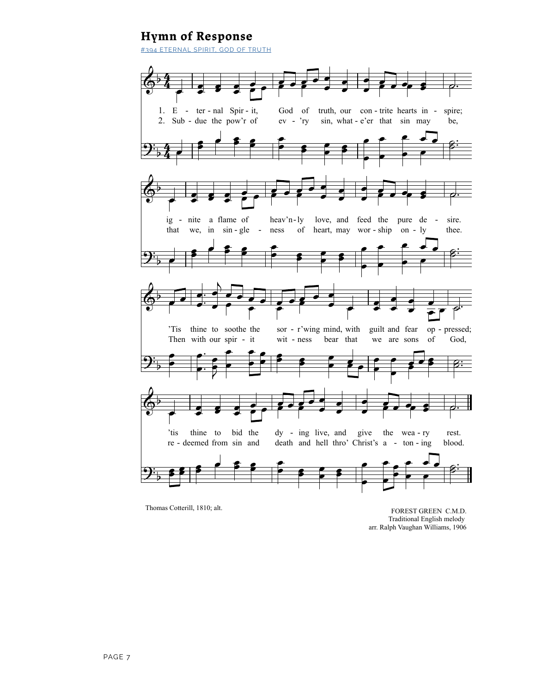## **Hymn of Response**

#394 ETERNAL SPIRIT, GOD OF TRUTH



Thomas Cotterill, 1810; alt.

FOREST GREEN C.M.D. Traditional English melody arr. Ralph Vaughan Williams, 1906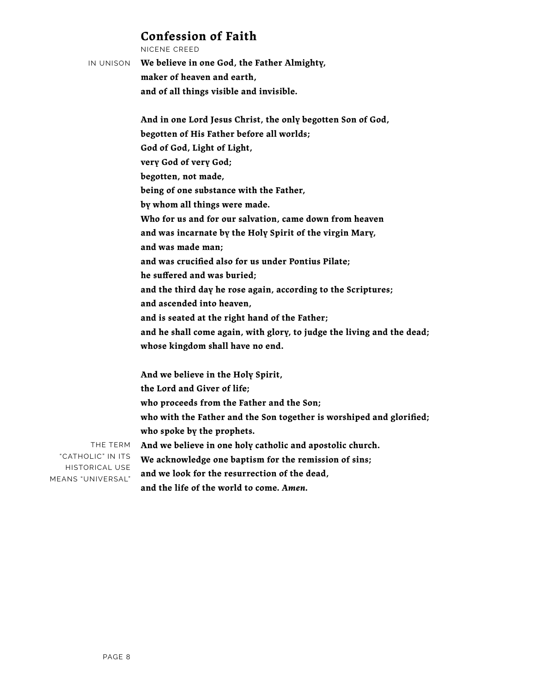### **Confession of Faith**

NICENE CREED IN UNISON **We believe in one God, the Father Almighty, maker of heaven and earth, and of all things visible and invisible. And in one Lord Jesus Christ, the only begotten Son of God, begotten of His Father before all worlds; God of God, Light of Light, very God of very God; begotten, not made, being of one substance with the Father, by whom all things were made. Who for us and for our salvation, came down from heaven and was incarnate by the Holy Spirit of the virgin Mary, and was made man; and was crucified also for us under Pontius Pilate; he suffered and was buried; and the third day he rose again, according to the Scriptures; and ascended into heaven, and is seated at the right hand of the Father; and he shall come again, with glory, to judge the living and the dead; whose kingdom shall have no end. And we believe in the Holy Spirit, the Lord and Giver of life; who proceeds from the Father and the Son;**

THE TERM "CATHOLIC" IN ITS HISTORICAL USE MEANS "UNIVERSAL"

**and the life of the world to come.** *Amen.*

**and we look for the resurrection of the dead,**

**who spoke by the prophets.**

**who with the Father and the Son together is worshiped and glorified;**

**And we believe in one holy catholic and apostolic church. We acknowledge one baptism for the remission of sins;**